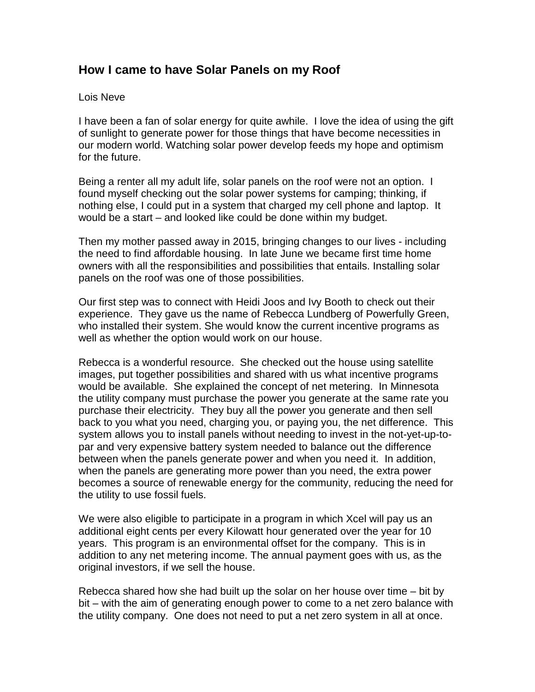## **How I came to have Solar Panels on my Roof**

## Lois Neve

I have been a fan of solar energy for quite awhile. I love the idea of using the gift of sunlight to generate power for those things that have become necessities in our modern world. Watching solar power develop feeds my hope and optimism for the future.

Being a renter all my adult life, solar panels on the roof were not an option. I found myself checking out the solar power systems for camping; thinking, if nothing else, I could put in a system that charged my cell phone and laptop. It would be a start – and looked like could be done within my budget.

Then my mother passed away in 2015, bringing changes to our lives - including the need to find affordable housing. In late June we became first time home owners with all the responsibilities and possibilities that entails. Installing solar panels on the roof was one of those possibilities.

Our first step was to connect with Heidi Joos and Ivy Booth to check out their experience. They gave us the name of Rebecca Lundberg of Powerfully Green, who installed their system. She would know the current incentive programs as well as whether the option would work on our house.

Rebecca is a wonderful resource. She checked out the house using satellite images, put together possibilities and shared with us what incentive programs would be available. She explained the concept of net metering. In Minnesota the utility company must purchase the power you generate at the same rate you purchase their electricity. They buy all the power you generate and then sell back to you what you need, charging you, or paying you, the net difference. This system allows you to install panels without needing to invest in the not-yet-up-topar and very expensive battery system needed to balance out the difference between when the panels generate power and when you need it. In addition, when the panels are generating more power than you need, the extra power becomes a source of renewable energy for the community, reducing the need for the utility to use fossil fuels.

We were also eligible to participate in a program in which Xcel will pay us an additional eight cents per every Kilowatt hour generated over the year for 10 years. This program is an environmental offset for the company. This is in addition to any net metering income. The annual payment goes with us, as the original investors, if we sell the house.

Rebecca shared how she had built up the solar on her house over time – bit by bit – with the aim of generating enough power to come to a net zero balance with the utility company. One does not need to put a net zero system in all at once.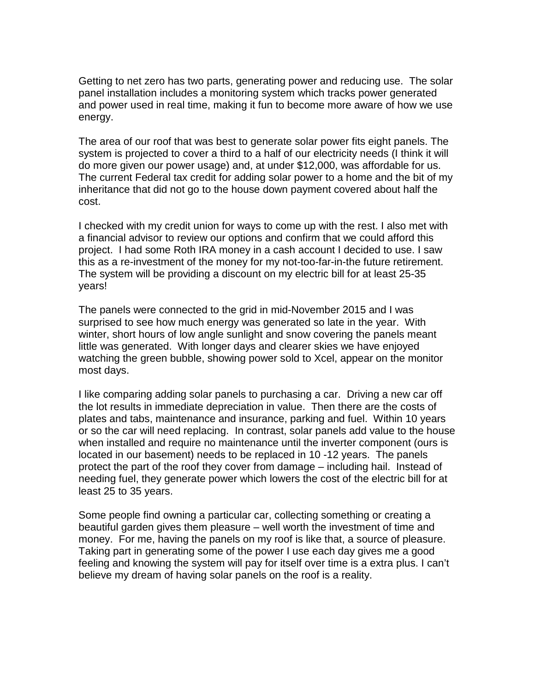Getting to net zero has two parts, generating power and reducing use. The solar panel installation includes a monitoring system which tracks power generated and power used in real time, making it fun to become more aware of how we use energy.

The area of our roof that was best to generate solar power fits eight panels. The system is projected to cover a third to a half of our electricity needs (I think it will do more given our power usage) and, at under \$12,000, was affordable for us. The current Federal tax credit for adding solar power to a home and the bit of my inheritance that did not go to the house down payment covered about half the cost.

I checked with my credit union for ways to come up with the rest. I also met with a financial advisor to review our options and confirm that we could afford this project. I had some Roth IRA money in a cash account I decided to use. I saw this as a re-investment of the money for my not-too-far-in-the future retirement. The system will be providing a discount on my electric bill for at least 25-35 years!

The panels were connected to the grid in mid-November 2015 and I was surprised to see how much energy was generated so late in the year. With winter, short hours of low angle sunlight and snow covering the panels meant little was generated. With longer days and clearer skies we have enjoyed watching the green bubble, showing power sold to Xcel, appear on the monitor most days.

I like comparing adding solar panels to purchasing a car. Driving a new car off the lot results in immediate depreciation in value. Then there are the costs of plates and tabs, maintenance and insurance, parking and fuel. Within 10 years or so the car will need replacing. In contrast, solar panels add value to the house when installed and require no maintenance until the inverter component (ours is located in our basement) needs to be replaced in 10 -12 years. The panels protect the part of the roof they cover from damage – including hail. Instead of needing fuel, they generate power which lowers the cost of the electric bill for at least 25 to 35 years.

Some people find owning a particular car, collecting something or creating a beautiful garden gives them pleasure – well worth the investment of time and money. For me, having the panels on my roof is like that, a source of pleasure. Taking part in generating some of the power I use each day gives me a good feeling and knowing the system will pay for itself over time is a extra plus. I can't believe my dream of having solar panels on the roof is a reality.